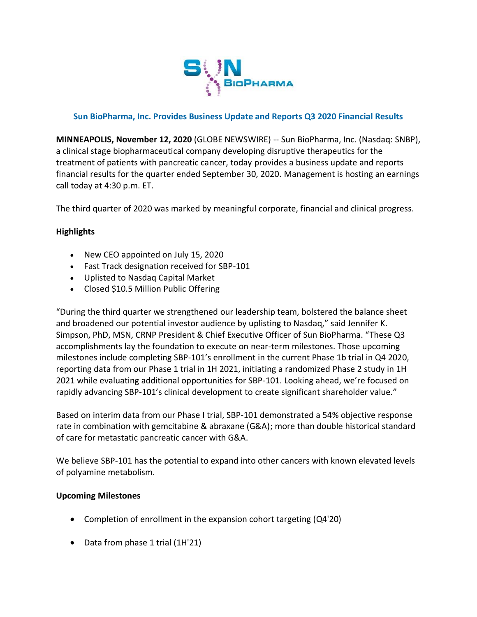

#### **Sun BioPharma, Inc. Provides Business Update and Reports Q3 2020 Financial Results**

**MINNEAPOLIS, November 12, 2020** (GLOBE NEWSWIRE) -- Sun BioPharma, Inc. (Nasdaq: SNBP), a clinical stage biopharmaceutical company developing disruptive therapeutics for the treatment of patients with pancreatic cancer, today provides a business update and reports financial results for the quarter ended September 30, 2020. Management is hosting an earnings call today at 4:30 p.m. ET.

The third quarter of 2020 was marked by meaningful corporate, financial and clinical progress.

### **Highlights**

- New CEO appointed on July 15, 2020
- Fast Track designation received for SBP-101
- Uplisted to Nasdaq Capital Market
- Closed \$10.5 Million Public Offering

"During the third quarter we strengthened our leadership team, bolstered the balance sheet and broadened our potential investor audience by uplisting to Nasdaq," said Jennifer K. Simpson, PhD, MSN, CRNP President & Chief Executive Officer of Sun BioPharma. "These Q3 accomplishments lay the foundation to execute on near-term milestones. Those upcoming milestones include completing SBP-101's enrollment in the current Phase 1b trial in Q4 2020, reporting data from our Phase 1 trial in 1H 2021, initiating a randomized Phase 2 study in 1H 2021 while evaluating additional opportunities for SBP-101. Looking ahead, we're focused on rapidly advancing SBP-101's clinical development to create significant shareholder value."

Based on interim data from our Phase I trial, SBP-101 demonstrated a 54% objective response rate in combination with gemcitabine & abraxane (G&A); more than double historical standard of care for metastatic pancreatic cancer with G&A.

We believe SBP-101 has the potential to expand into other cancers with known elevated levels of polyamine metabolism.

#### **Upcoming Milestones**

- Completion of enrollment in the expansion cohort targeting (Q4'20)
- Data from phase 1 trial (1H'21)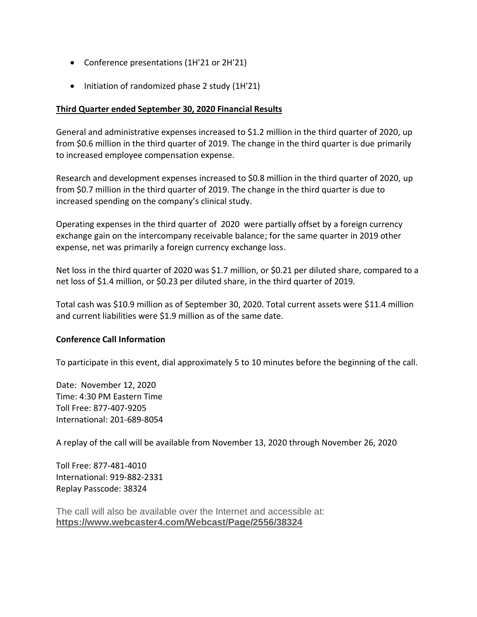- Conference presentations (1H'21 or 2H'21)
- Initiation of randomized phase 2 study (1H'21)

### **Third Quarter ended September 30, 2020 Financial Results**

General and administrative expenses increased to \$1.2 million in the third quarter of 2020, up from \$0.6 million in the third quarter of 2019. The change in the third quarter is due primarily to increased employee compensation expense.

Research and development expenses increased to \$0.8 million in the third quarter of 2020, up from \$0.7 million in the third quarter of 2019. The change in the third quarter is due to increased spending on the company's clinical study.

Operating expenses in the third quarter of 2020 were partially offset by a foreign currency exchange gain on the intercompany receivable balance; for the same quarter in 2019 other expense, net was primarily a foreign currency exchange loss.

Net loss in the third quarter of 2020 was \$1.7 million, or \$0.21 per diluted share, compared to a net loss of \$1.4 million, or \$0.23 per diluted share, in the third quarter of 2019.

Total cash was \$10.9 million as of September 30, 2020. Total current assets were \$11.4 million and current liabilities were \$1.9 million as of the same date.

#### **Conference Call Information**

To participate in this event, dial approximately 5 to 10 minutes before the beginning of the call.

Date: November 12, 2020 Time: 4:30 PM Eastern Time Toll Free: 877-407-9205 International: 201-689-8054

A replay of the call will be available from November 13, 2020 through November 26, 2020

Toll Free: 877-481-4010 International: 919-882-2331 Replay Passcode: 38324

The call will also be available over the Internet and accessible at: **[https://www.webcaster4.com/Webcast/Page/2556/38324](https://www.globenewswire.com/Tracker?data=z6_t5SVgsNY_-PjAI9_2Y5JF5hJh7OZrnupGOoG_uryzA5gg0xd-fHQ6SChHqfYyaZBXGRcOhyiT64GeCI28hwyigPF8NBu80QgPndNmVlnuDxwvVDWUyPevj7NQnk4i-s4xjMtLzj53VxLQFJ75NQULXJm9IFebgURRue8f1TI=)**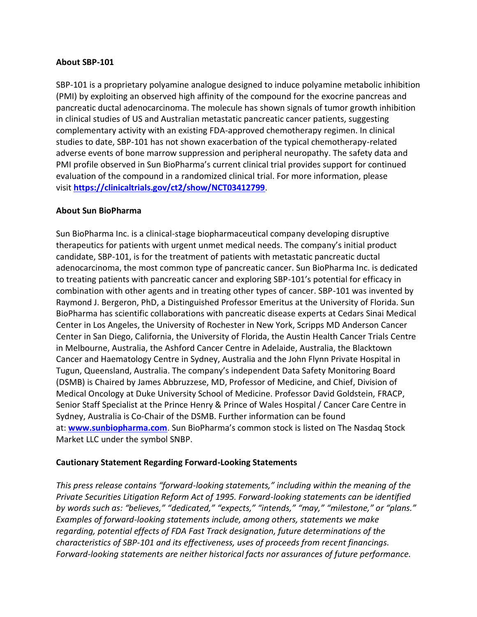#### **About SBP-101**

SBP-101 is a proprietary polyamine analogue designed to induce polyamine metabolic inhibition (PMI) by exploiting an observed high affinity of the compound for the exocrine pancreas and pancreatic ductal adenocarcinoma. The molecule has shown signals of tumor growth inhibition in clinical studies of US and Australian metastatic pancreatic cancer patients, suggesting complementary activity with an existing FDA-approved chemotherapy regimen. In clinical studies to date, SBP-101 has not shown exacerbation of the typical chemotherapy-related adverse events of bone marrow suppression and peripheral neuropathy. The safety data and PMI profile observed in Sun BioPharma's current clinical trial provides support for continued evaluation of the compound in a randomized clinical trial. For more information, please visit **https://clinicaltrials.gov/ct2/show/NCT03412799**.

#### **About Sun BioPharma**

Sun BioPharma Inc. is a clinical-stage biopharmaceutical company developing disruptive therapeutics for patients with urgent unmet medical needs. The company's initial product candidate, SBP-101, is for the treatment of patients with metastatic pancreatic ductal adenocarcinoma, the most common type of pancreatic cancer. Sun BioPharma Inc. is dedicated to treating patients with pancreatic cancer and exploring SBP-101's potential for efficacy in combination with other agents and in treating other types of cancer. SBP-101 was invented by Raymond J. Bergeron, PhD, a Distinguished Professor Emeritus at the University of Florida. Sun BioPharma has scientific collaborations with pancreatic disease experts at Cedars Sinai Medical Center in Los Angeles, the University of Rochester in New York, Scripps MD Anderson Cancer Center in San Diego, California, the University of Florida, the Austin Health Cancer Trials Centre in Melbourne, Australia, the Ashford Cancer Centre in Adelaide, Australia, the Blacktown Cancer and Haematology Centre in Sydney, Australia and the John Flynn Private Hospital in Tugun, Queensland, Australia. The company's independent Data Safety Monitoring Board (DSMB) is Chaired by James Abbruzzese, MD, Professor of Medicine, and Chief, Division of Medical Oncology at Duke University School of Medicine. Professor David Goldstein, FRACP, Senior Staff Specialist at the Prince Henry & Prince of Wales Hospital / Cancer Care Centre in Sydney, Australia is Co-Chair of the DSMB. Further information can be found at: **www.sunbiopharma.com**. Sun BioPharma's common stock is listed on The Nasdaq Stock Market LLC under the symbol SNBP.

#### **Cautionary Statement Regarding Forward-Looking Statements**

*This press release contains "forward-looking statements," including within the meaning of the Private Securities Litigation Reform Act of 1995. Forward-looking statements can be identified by words such as: "believes," "dedicated," "expects," "intends," "may," "milestone," or "plans." Examples of forward-looking statements include, among others, statements we make regarding, potential effects of FDA Fast Track designation, future determinations of the characteristics of SBP-101 and its effectiveness, uses of proceeds from recent financings. Forward-looking statements are neither historical facts nor assurances of future performance.*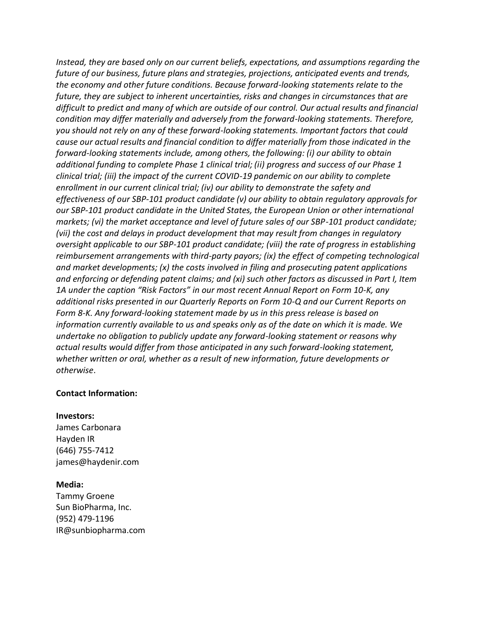*Instead, they are based only on our current beliefs, expectations, and assumptions regarding the future of our business, future plans and strategies, projections, anticipated events and trends, the economy and other future conditions. Because forward-looking statements relate to the future, they are subject to inherent uncertainties, risks and changes in circumstances that are difficult to predict and many of which are outside of our control. Our actual results and financial condition may differ materially and adversely from the forward-looking statements. Therefore, you should not rely on any of these forward-looking statements. Important factors that could cause our actual results and financial condition to differ materially from those indicated in the forward-looking statements include, among others, the following: (i) our ability to obtain additional funding to complete Phase 1 clinical trial; (ii) progress and success of our Phase 1 clinical trial; (iii) the impact of the current COVID-19 pandemic on our ability to complete enrollment in our current clinical trial; (iv) our ability to demonstrate the safety and effectiveness of our SBP-101 product candidate (v) our ability to obtain regulatory approvals for our SBP-101 product candidate in the United States, the European Union or other international markets; (vi) the market acceptance and level of future sales of our SBP-101 product candidate; (vii) the cost and delays in product development that may result from changes in regulatory oversight applicable to our SBP-101 product candidate; (viii) the rate of progress in establishing reimbursement arrangements with third-party payors; (ix) the effect of competing technological and market developments; (x) the costs involved in filing and prosecuting patent applications and enforcing or defending patent claims; and (xi) such other factors as discussed in Part I, Item 1A under the caption "Risk Factors" in our most recent Annual Report on Form 10-K, any additional risks presented in our Quarterly Reports on Form 10-Q and our Current Reports on Form 8-K. Any forward-looking statement made by us in this press release is based on information currently available to us and speaks only as of the date on which it is made. We undertake no obligation to publicly update any forward-looking statement or reasons why actual results would differ from those anticipated in any such forward-looking statement, whether written or oral, whether as a result of new information, future developments or otherwise*.

#### **Contact Information:**

#### **Investors:**

James Carbonara Hayden IR (646) 755-7412 james@haydenir.com

#### **Media:**

Tammy Groene Sun BioPharma, Inc. (952) 479-1196 IR@sunbiopharma.com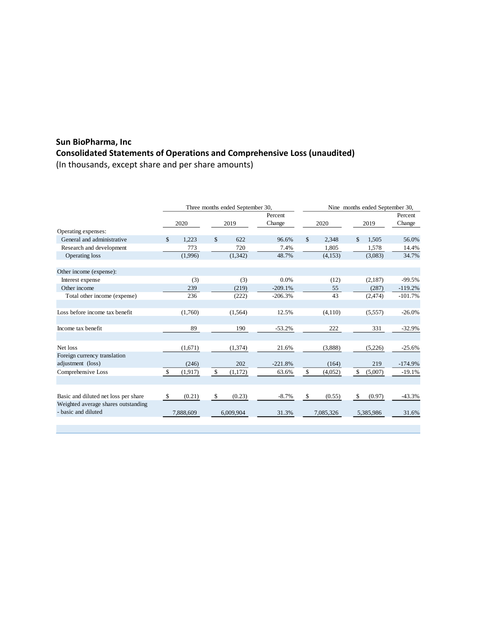## **Sun BioPharma, Inc Consolidated Statements of Operations and Comprehensive Loss (unaudited)**

(In thousands, except share and per share amounts)

|                                                   | Three months ended September 30, |           |      |           | Nine months ended September 30, |      |           |      |           |           |
|---------------------------------------------------|----------------------------------|-----------|------|-----------|---------------------------------|------|-----------|------|-----------|-----------|
|                                                   |                                  |           |      |           | Percent                         |      |           |      |           | Percent   |
|                                                   | 2020                             |           | 2019 |           | Change                          | 2020 |           | 2019 |           | Change    |
| Operating expenses:                               |                                  |           |      |           |                                 |      |           |      |           |           |
| General and administrative                        | \$                               | 1,223     | \$   | 622       | 96.6%                           | \$   | 2,348     | \$   | 1,505     | 56.0%     |
| Research and development                          |                                  | 773       |      | 720       | 7.4%                            |      | 1,805     |      | 1,578     | 14.4%     |
| <b>Operating loss</b>                             |                                  | (1,996)   |      | (1,342)   | 48.7%                           |      | (4,153)   |      | (3,083)   | 34.7%     |
| Other income (expense):                           |                                  |           |      |           |                                 |      |           |      |           |           |
| Interest expense                                  |                                  | (3)       |      | (3)       | 0.0%                            |      | (12)      |      | (2,187)   | $-99.5%$  |
| Other income                                      |                                  | 239       |      | (219)     | $-209.1%$                       |      | 55        |      | (287)     | $-119.2%$ |
| Total other income (expense)                      |                                  | 236       |      | (222)     | $-206.3%$                       |      | 43        |      | (2,474)   | $-101.7%$ |
| Loss before income tax benefit                    |                                  | (1,760)   |      | (1,564)   | 12.5%                           |      | (4,110)   |      | (5,557)   | $-26.0%$  |
| Income tax benefit                                |                                  | 89        |      | 190       | $-53.2%$                        |      | 222       |      | 331       | $-32.9%$  |
| Net loss                                          |                                  | (1,671)   |      | (1,374)   | 21.6%                           |      | (3,888)   |      | (5,226)   | $-25.6%$  |
| Foreign currency translation<br>adjustment (loss) |                                  | (246)     |      | 202       | $-221.8%$                       |      | (164)     |      | 219       | $-174.9%$ |
| Comprehensive Loss                                | $\mathcal{S}$                    | (1, 917)  | \$   | (1,172)   | 63.6%                           | \$   | (4,052)   | \$   | (5,007)   | $-19.1%$  |
|                                                   |                                  |           |      |           |                                 |      |           |      |           |           |
| Basic and diluted net loss per share              | \$                               | (0.21)    | -\$  | (0.23)    | $-8.7%$                         | \$   | (0.55)    | \$   | (0.97)    | $-43.3%$  |
| Weighted average shares outstanding               |                                  |           |      |           |                                 |      |           |      |           |           |
| - basic and diluted                               |                                  | 7.888.609 |      | 6.009.904 | 31.3%                           |      | 7.085.326 |      | 5.385.986 | 31.6%     |
|                                                   |                                  |           |      |           |                                 |      |           |      |           |           |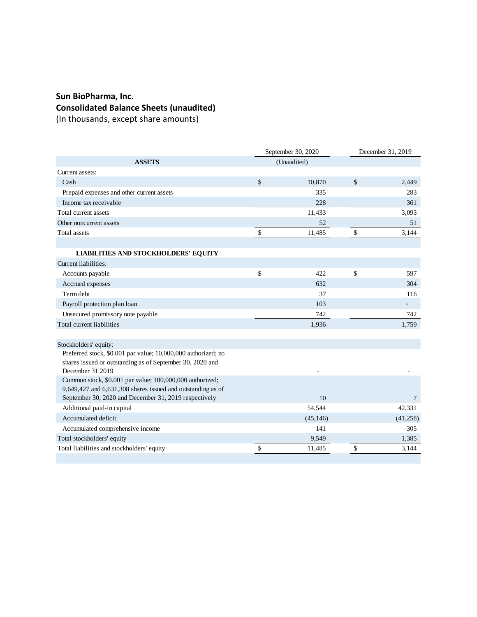## **Sun BioPharma, Inc. Consolidated Balance Sheets (unaudited)**

(In thousands, except share amounts)

| <b>ASSETS</b><br>(Unaudited)<br>Current assets:<br>\$<br>$\mathcal{S}$<br>Cash<br>10,870<br>2,449<br>335<br>Prepaid expenses and other current assets<br>283<br>Income tax receivable<br>228<br>361<br>Total current assets<br>11,433<br>3,093<br>Other noncurrent assets<br>52<br>51<br>\$<br>\$<br><b>Total</b> assets<br>11,485<br>3,144<br><b>LIABILITIES AND STOCKHOLDERS' EQUITY</b><br>Current liabilities:<br>\$<br>\$<br>Accounts payable<br>422<br>597<br>632<br>Accrued expenses<br>304<br>Term debt<br>37<br>116<br>Payroll protection plan loan<br>103<br>Unsecured promissory note payable<br>742<br>742<br>Total current liabilities<br>1,936<br>1,759<br>Stockholders' equity:<br>Preferred stock, \$0.001 par value; 10,000,000 authorized; no<br>shares issued or outstanding as of September 30, 2020 and<br>December 31 2019<br>Common stock, \$0.001 par value; 100,000,000 authorized;<br>$9,649,427$ and $6,631,308$ shares issued and outstanding as of<br>September 30, 2020 and December 31, 2019 respectively<br>10<br>$\overline{7}$<br>Additional paid-in capital<br>54,544<br>42,331<br>Accumulated deficit<br>(45, 146)<br>(41,258)<br>Accumulated comprehensive income<br>141<br>305<br>Total stockholders' equity<br>1,385<br>9,549<br>Total liabilities and stockholders' equity<br>\$<br>\$<br>11,485<br>3,144 |  | September 30, 2020 | December 31, 2019 |  |  |
|---------------------------------------------------------------------------------------------------------------------------------------------------------------------------------------------------------------------------------------------------------------------------------------------------------------------------------------------------------------------------------------------------------------------------------------------------------------------------------------------------------------------------------------------------------------------------------------------------------------------------------------------------------------------------------------------------------------------------------------------------------------------------------------------------------------------------------------------------------------------------------------------------------------------------------------------------------------------------------------------------------------------------------------------------------------------------------------------------------------------------------------------------------------------------------------------------------------------------------------------------------------------------------------------------------------------------------------------------|--|--------------------|-------------------|--|--|
|                                                                                                                                                                                                                                                                                                                                                                                                                                                                                                                                                                                                                                                                                                                                                                                                                                                                                                                                                                                                                                                                                                                                                                                                                                                                                                                                                   |  |                    |                   |  |  |
|                                                                                                                                                                                                                                                                                                                                                                                                                                                                                                                                                                                                                                                                                                                                                                                                                                                                                                                                                                                                                                                                                                                                                                                                                                                                                                                                                   |  |                    |                   |  |  |
|                                                                                                                                                                                                                                                                                                                                                                                                                                                                                                                                                                                                                                                                                                                                                                                                                                                                                                                                                                                                                                                                                                                                                                                                                                                                                                                                                   |  |                    |                   |  |  |
|                                                                                                                                                                                                                                                                                                                                                                                                                                                                                                                                                                                                                                                                                                                                                                                                                                                                                                                                                                                                                                                                                                                                                                                                                                                                                                                                                   |  |                    |                   |  |  |
|                                                                                                                                                                                                                                                                                                                                                                                                                                                                                                                                                                                                                                                                                                                                                                                                                                                                                                                                                                                                                                                                                                                                                                                                                                                                                                                                                   |  |                    |                   |  |  |
|                                                                                                                                                                                                                                                                                                                                                                                                                                                                                                                                                                                                                                                                                                                                                                                                                                                                                                                                                                                                                                                                                                                                                                                                                                                                                                                                                   |  |                    |                   |  |  |
|                                                                                                                                                                                                                                                                                                                                                                                                                                                                                                                                                                                                                                                                                                                                                                                                                                                                                                                                                                                                                                                                                                                                                                                                                                                                                                                                                   |  |                    |                   |  |  |
|                                                                                                                                                                                                                                                                                                                                                                                                                                                                                                                                                                                                                                                                                                                                                                                                                                                                                                                                                                                                                                                                                                                                                                                                                                                                                                                                                   |  |                    |                   |  |  |
|                                                                                                                                                                                                                                                                                                                                                                                                                                                                                                                                                                                                                                                                                                                                                                                                                                                                                                                                                                                                                                                                                                                                                                                                                                                                                                                                                   |  |                    |                   |  |  |
|                                                                                                                                                                                                                                                                                                                                                                                                                                                                                                                                                                                                                                                                                                                                                                                                                                                                                                                                                                                                                                                                                                                                                                                                                                                                                                                                                   |  |                    |                   |  |  |
|                                                                                                                                                                                                                                                                                                                                                                                                                                                                                                                                                                                                                                                                                                                                                                                                                                                                                                                                                                                                                                                                                                                                                                                                                                                                                                                                                   |  |                    |                   |  |  |
|                                                                                                                                                                                                                                                                                                                                                                                                                                                                                                                                                                                                                                                                                                                                                                                                                                                                                                                                                                                                                                                                                                                                                                                                                                                                                                                                                   |  |                    |                   |  |  |
|                                                                                                                                                                                                                                                                                                                                                                                                                                                                                                                                                                                                                                                                                                                                                                                                                                                                                                                                                                                                                                                                                                                                                                                                                                                                                                                                                   |  |                    |                   |  |  |
|                                                                                                                                                                                                                                                                                                                                                                                                                                                                                                                                                                                                                                                                                                                                                                                                                                                                                                                                                                                                                                                                                                                                                                                                                                                                                                                                                   |  |                    |                   |  |  |
|                                                                                                                                                                                                                                                                                                                                                                                                                                                                                                                                                                                                                                                                                                                                                                                                                                                                                                                                                                                                                                                                                                                                                                                                                                                                                                                                                   |  |                    |                   |  |  |
|                                                                                                                                                                                                                                                                                                                                                                                                                                                                                                                                                                                                                                                                                                                                                                                                                                                                                                                                                                                                                                                                                                                                                                                                                                                                                                                                                   |  |                    |                   |  |  |
|                                                                                                                                                                                                                                                                                                                                                                                                                                                                                                                                                                                                                                                                                                                                                                                                                                                                                                                                                                                                                                                                                                                                                                                                                                                                                                                                                   |  |                    |                   |  |  |
|                                                                                                                                                                                                                                                                                                                                                                                                                                                                                                                                                                                                                                                                                                                                                                                                                                                                                                                                                                                                                                                                                                                                                                                                                                                                                                                                                   |  |                    |                   |  |  |
|                                                                                                                                                                                                                                                                                                                                                                                                                                                                                                                                                                                                                                                                                                                                                                                                                                                                                                                                                                                                                                                                                                                                                                                                                                                                                                                                                   |  |                    |                   |  |  |
|                                                                                                                                                                                                                                                                                                                                                                                                                                                                                                                                                                                                                                                                                                                                                                                                                                                                                                                                                                                                                                                                                                                                                                                                                                                                                                                                                   |  |                    |                   |  |  |
|                                                                                                                                                                                                                                                                                                                                                                                                                                                                                                                                                                                                                                                                                                                                                                                                                                                                                                                                                                                                                                                                                                                                                                                                                                                                                                                                                   |  |                    |                   |  |  |
|                                                                                                                                                                                                                                                                                                                                                                                                                                                                                                                                                                                                                                                                                                                                                                                                                                                                                                                                                                                                                                                                                                                                                                                                                                                                                                                                                   |  |                    |                   |  |  |
|                                                                                                                                                                                                                                                                                                                                                                                                                                                                                                                                                                                                                                                                                                                                                                                                                                                                                                                                                                                                                                                                                                                                                                                                                                                                                                                                                   |  |                    |                   |  |  |
|                                                                                                                                                                                                                                                                                                                                                                                                                                                                                                                                                                                                                                                                                                                                                                                                                                                                                                                                                                                                                                                                                                                                                                                                                                                                                                                                                   |  |                    |                   |  |  |
|                                                                                                                                                                                                                                                                                                                                                                                                                                                                                                                                                                                                                                                                                                                                                                                                                                                                                                                                                                                                                                                                                                                                                                                                                                                                                                                                                   |  |                    |                   |  |  |
|                                                                                                                                                                                                                                                                                                                                                                                                                                                                                                                                                                                                                                                                                                                                                                                                                                                                                                                                                                                                                                                                                                                                                                                                                                                                                                                                                   |  |                    |                   |  |  |
|                                                                                                                                                                                                                                                                                                                                                                                                                                                                                                                                                                                                                                                                                                                                                                                                                                                                                                                                                                                                                                                                                                                                                                                                                                                                                                                                                   |  |                    |                   |  |  |
|                                                                                                                                                                                                                                                                                                                                                                                                                                                                                                                                                                                                                                                                                                                                                                                                                                                                                                                                                                                                                                                                                                                                                                                                                                                                                                                                                   |  |                    |                   |  |  |
|                                                                                                                                                                                                                                                                                                                                                                                                                                                                                                                                                                                                                                                                                                                                                                                                                                                                                                                                                                                                                                                                                                                                                                                                                                                                                                                                                   |  |                    |                   |  |  |